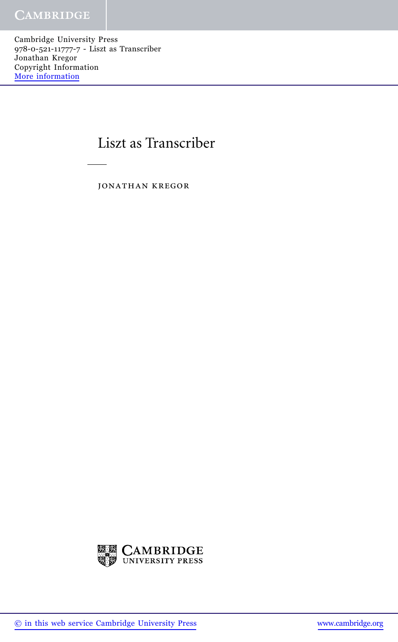Cambridge University Press 978-0-521-11777-7 - Liszt as Transcriber Jonathan Kregor Copyright Information [More information](http://www.cambridge.org/9780521117777)

## Liszt as Transcriber

jonathan kregor